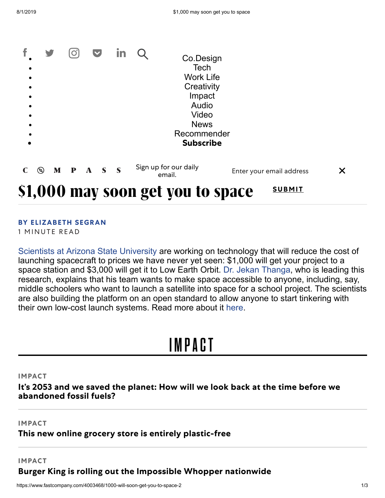|                                |              |              |        | <b>Work Life</b><br>Creativity<br>Impact<br>Audio<br>Video |                          |   |
|--------------------------------|--------------|--------------|--------|------------------------------------------------------------|--------------------------|---|
|                                |              |              |        | <b>News</b><br>Recommender<br><b>Subscribe</b>             |                          |   |
| $\mathbf{M}$<br>$\circledcirc$ | $\mathbf{P}$ | $\mathbf{A}$ | $S \S$ | Sign up for our daily<br>email.                            | Enter your email address | X |

### **BY [ELIZABETH](https://www.fastcompany.com/user/elizabeth-segran) SEGRAN**

1 MINUTE READ

[Scientists at Arizona State University](http://space.asu.edu/) are working on technology that will reduce the cost of launching spacecraft to prices we have never yet seen: \$1,000 will get your project to a space station and \$3,000 will get it to Low Earth Orbit. [Dr. Jekan Thanga,](https://webapp4.asu.edu/directory/person/2208812) who is leading this research, explains that his team wants to make space accessible to anyone, including, say, middle schoolers who want to launch a satellite into space for a school project. The scientists are also building the platform on an open standard to allow anyone to start tinkering with their own low-cost launch systems. Read more about it [here.](https://www.dropbox.com/s/72r3c1rmikiun6o/femtosat_standard_public_asu_spacetrex_media2.pdf?dl=0)

## [IMPACT](https://www.fastcompany.com/ideas)

### **IMPACT**

**It's 2053 and we saved the planet: How will we look back at the time before we [abandoned](https://www.fastcompany.com/90384799/its-2053-and-we-saved-the-planet-how-will-we-look-back-at-the-time-before-we-abandoned-fossil-fuels) fossil fuels?**

**IMPACT**

### **This new online grocery store is entirely [plastic-free](https://www.fastcompany.com/90384104/this-new-online-grocery-store-is-entirely-plastic-free)**

#### **IMPACT**

**Burger King is rolling out the Impossible Whopper [nationwide](https://www.fastcompany.com/90384340/burger-king-is-rolling-out-the-impossible-whopper-nationwide)**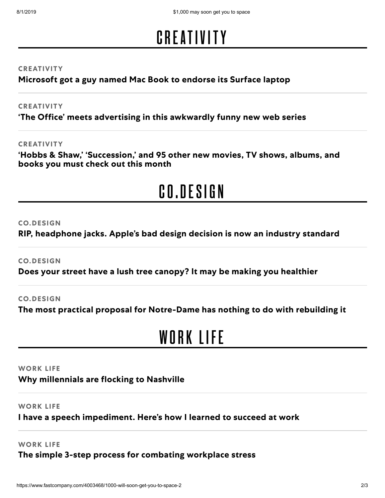# **[CRE](https://www.fastcompany.com/entertainment)ATIVITY**

### **CREATIVITY**

**[Microsoft](https://www.fastcompany.com/90385051/microsoft-got-a-guy-named-mac-book-to-endorse-its-surface-laptop) got a guy named Mac Book to endorse its Surface laptop**

### **CREATIVITY**

**'The Office' meets [advertising](https://www.fastcompany.com/90384826/the-office-meets-advertising-in-this-awkwardly-funny-new-web-series) in this awkwardly funny new web series**

### **CREATIVITY**

**'Hobbs & Shaw,' ['Succession,'](https://www.fastcompany.com/90372261/hobbes-and-shaw-succession-and-95-other-new-movies-tv-shows-albums-and-books-you-must-check-out-this-month) and 95 other new movies, TV shows, albums, and books you must check out this month**

# [CO.DESIGN](https://www.fastcompany.com/co-design)

### **CO.DESIGN**

**RIP, [headphone](https://www.fastcompany.com/90384812/rip-headphone-jacks-apples-bad-design-decision-is-now-an-industry-standard) jacks. Apple's bad design decision is now an industry standard**

**CO.DESIGN**

**Does your street have a lush tree canopy? It may be making you [healthier](https://www.fastcompany.com/90382876/does-your-street-have-a-lush-tree-canopy-it-may-be-making-you-healthier)**

### **CO.DESIGN**

**The most practical proposal for [Notre-Dame](https://www.fastcompany.com/90384531/the-most-practical-proposal-for-notre-dame-has-nothing-to-do-with-rebuilding-it) has nothing to do with rebuilding it**

## W[ORK](https://www.fastcompany.com/leadership) LIFE

### **WORK LIFE**

**Why [millennials](https://www.fastcompany.com/90384148/why-millennials-are-flocking-to-nashville) are flocking to Nashville**

### **WORK LIFE**

### **I have a speech [impediment.](https://www.fastcompany.com/90383394/3-lessons-i-learned-about-stuttering-in-the-workplace) Here's how I learned to succeed at work**

### **WORK LIFE**

**The simple 3-step process for [combating](https://www.fastcompany.com/90383370/3-ways-to-combat-workplace-stress) workplace stress**